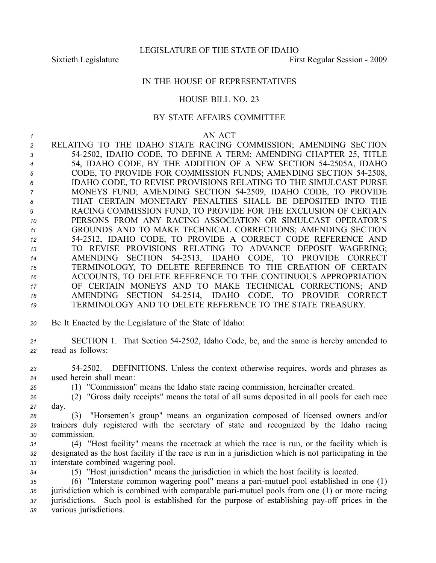# IN THE HOUSE OF REPRESENTATIVES

## HOUSE BILL NO. 23

## BY STATE AFFAIRS COMMITTEE

### *1* AN ACT

 RELATING TO THE IDAHO STATE RACING COMMISSION; AMENDING SECTION 542502, IDAHO CODE, TO DEFINE A TERM; AMENDING CHAPTER 25, TITLE 54, IDAHO CODE, BY THE ADDITION OF A NEW SECTION 542505A, IDAHO CODE, TO PROVIDE FOR COMMISSION FUNDS; AMENDING SECTION 542508, IDAHO CODE, TO REVISE PROVISIONS RELATING TO THE SIMULCAST PURSE MONEYS FUND; AMENDING SECTION 542509, IDAHO CODE, TO PROVIDE THAT CERTAIN MONETARY PENALTIES SHALL BE DEPOSITED INTO THE RACING COMMISSION FUND, TO PROVIDE FOR THE EXCLUSION OF CERTAIN PERSONS FROM ANY RACING ASSOCIATION OR SIMULCAST OPERATOR'S GROUNDS AND TO MAKE TECHNICAL CORRECTIONS; AMENDING SECTION 542512, IDAHO CODE, TO PROVIDE A CORRECT CODE REFERENCE AND TO REVISE PROVISIONS RELATING TO ADVANCE DEPOSIT WAGERING; AMENDING SECTION 542513, IDAHO CODE, TO PROVIDE CORRECT TERMINOLOGY, TO DELETE REFERENCE TO THE CREATION OF CERTAIN ACCOUNTS, TO DELETE REFERENCE TO THE CONTINUOUS APPROPRIATION OF CERTAIN MONEYS AND TO MAKE TECHNICAL CORRECTIONS; AND AMENDING SECTION 542514, IDAHO CODE, TO PROVIDE CORRECT TERMINOLOGY AND TO DELETE REFERENCE TO THE STATE TREASURY.

*<sup>20</sup>* Be It Enacted by the Legislature of the State of Idaho:

*<sup>21</sup>* SECTION 1. That Section 542502, Idaho Code, be, and the same is hereby amended to *<sup>22</sup>* read as follows:

*<sup>23</sup>* 542502. DEFINITIONS. Unless the context otherwise requires, words and phrases as *<sup>24</sup>* used herein shall mean:

*<sup>25</sup>* (1) "Commission" means the Idaho state racing commission, hereinafter created.

*<sup>26</sup>* (2) "Gross daily receipts" means the total of all sums deposited in all pools for each race *<sup>27</sup>* day.

*<sup>28</sup>* (3) "Horsemen's group" means an organization composed of licensed owners and/or *<sup>29</sup>* trainers duly registered with the secretary of state and recognized by the Idaho racing *<sup>30</sup>* commission.

*<sup>31</sup>* (4) "Host facility" means the racetrack at which the race is run, or the facility which is *<sup>32</sup>* designated as the host facility if the race is run in <sup>a</sup> jurisdiction which is not participating in the *<sup>33</sup>* interstate combined wagering pool.

*<sup>34</sup>* (5) "Host jurisdiction" means the jurisdiction in which the host facility is located.

 (6) "Interstate common wagering pool" means <sup>a</sup> parimutuel pool established in one (1) 36 jurisdiction which is combined with comparable pari-mutuel pools from one (1) or more racing jurisdictions. Such pool is established for the purpose of establishing pay-off prices in the various jurisdictions.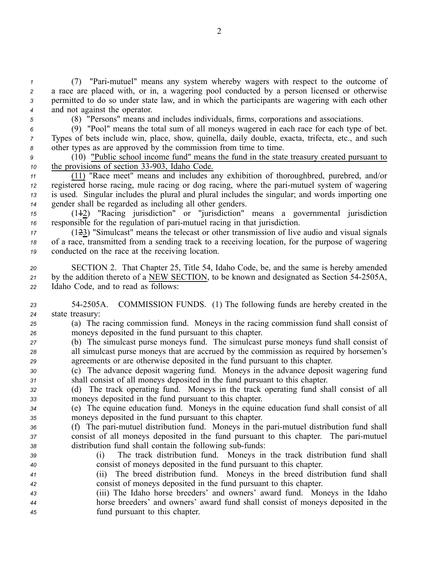(7) "Parimutuel" means any system whereby wagers with respec<sup>t</sup> to the outcome of <sup>a</sup> race are placed with, or in, <sup>a</sup> wagering pool conducted by <sup>a</sup> person licensed or otherwise permitted to do so under state law, and in which the participants are wagering with each other and not against the operator.

*<sup>5</sup>* (8) "Persons" means and includes individuals, firms, corporations and associations.

*<sup>6</sup>* (9) "Pool" means the total sum of all moneys wagered in each race for each type of bet. *<sup>7</sup>* Types of bets include win, place, show, quinella, daily double, exacta, trifecta, etc., and such *<sup>8</sup>* other types as are approved by the commission from time to time.

*<sup>9</sup>* (10) "Public school income fund" means the fund in the state treasury created pursuan<sup>t</sup> to *10* the provisions of section 33-903, Idaho Code.

 (11) "Race meet" means and includes any exhibition of thoroughbred, purebred, and/or registered horse racing, mule racing or dog racing, where the parimutuel system of wagering is used. Singular includes the plural and plural includes the singular; and words importing one gender shall be regarded as including all other genders.

*<sup>15</sup>* (112) "Racing jurisdiction" or "jurisdiction" means <sup>a</sup> governmental jurisdiction *<sup>16</sup>* responsible for the regulation of parimutuel racing in that jurisdiction.

*<sup>17</sup>* (123) "Simulcast" means the telecast or other transmission of live audio and visual signals *<sup>18</sup>* of <sup>a</sup> race, transmitted from <sup>a</sup> sending track to <sup>a</sup> receiving location, for the purpose of wagering *<sup>19</sup>* conducted on the race at the receiving location.

*<sup>20</sup>* SECTION 2. That Chapter 25, Title 54, Idaho Code, be, and the same is hereby amended 21 by the addition thereto of a NEW SECTION, to be known and designated as Section 54-2505A, *<sup>22</sup>* Idaho Code, and to read as follows:

*<sup>23</sup>* 542505A. COMMISSION FUNDS. (1) The following funds are hereby created in the *<sup>24</sup>* state treasury:

*<sup>25</sup>* (a) The racing commission fund. Moneys in the racing commission fund shall consist of *<sup>26</sup>* moneys deposited in the fund pursuan<sup>t</sup> to this chapter.

*<sup>27</sup>* (b) The simulcast purse moneys fund. The simulcast purse moneys fund shall consist of *<sup>28</sup>* all simulcast purse moneys that are accrued by the commission as required by horsemen's *<sup>29</sup>* agreements or are otherwise deposited in the fund pursuan<sup>t</sup> to this chapter.

*<sup>30</sup>* (c) The advance deposit wagering fund. Moneys in the advance deposit wagering fund *<sup>31</sup>* shall consist of all moneys deposited in the fund pursuan<sup>t</sup> to this chapter.

*<sup>32</sup>* (d) The track operating fund. Moneys in the track operating fund shall consist of all *<sup>33</sup>* moneys deposited in the fund pursuan<sup>t</sup> to this chapter.

*<sup>34</sup>* (e) The equine education fund. Moneys in the equine education fund shall consist of all *<sup>35</sup>* moneys deposited in the fund pursuan<sup>t</sup> to this chapter.

- *<sup>36</sup>* (f) The parimutuel distribution fund. Moneys in the parimutuel distribution fund shall *<sup>37</sup>* consist of all moneys deposited in the fund pursuan<sup>t</sup> to this chapter. The parimutuel 38 distribution fund shall contain the following sub-funds:
- 

*<sup>39</sup>* (i) The track distribution fund. Moneys in the track distribution fund shall *<sup>40</sup>* consist of moneys deposited in the fund pursuan<sup>t</sup> to this chapter.

*<sup>41</sup>* (ii) The breed distribution fund. Moneys in the breed distribution fund shall *<sup>42</sup>* consist of moneys deposited in the fund pursuan<sup>t</sup> to this chapter.

*<sup>43</sup>* (iii) The Idaho horse breeders' and owners' award fund. Moneys in the Idaho *<sup>44</sup>* horse breeders' and owners' award fund shall consist of moneys deposited in the *<sup>45</sup>* fund pursuan<sup>t</sup> to this chapter.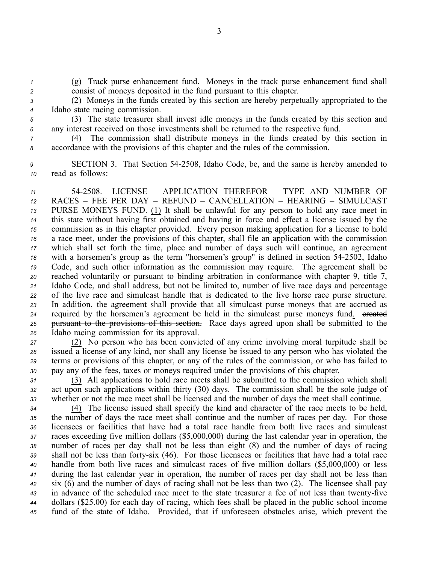*<sup>1</sup>* (g) Track purse enhancement fund. Moneys in the track purse enhancement fund shall *<sup>2</sup>* consist of moneys deposited in the fund pursuan<sup>t</sup> to this chapter.

- *<sup>3</sup>* (2) Moneys in the funds created by this section are hereby perpetually appropriated to the *<sup>4</sup>* Idaho state racing commission.
- *<sup>5</sup>* (3) The state treasurer shall invest idle moneys in the funds created by this section and *<sup>6</sup>* any interest received on those investments shall be returned to the respective fund.
- *<sup>7</sup>* (4) The commission shall distribute moneys in the funds created by this section in *<sup>8</sup>* accordance with the provisions of this chapter and the rules of the commission.
- *<sup>9</sup>* SECTION 3. That Section 542508, Idaho Code, be, and the same is hereby amended to *<sup>10</sup>* read as follows:

 542508. LICENSE – APPLICATION THEREFOR – TYPE AND NUMBER OF RACES – FEE PER DAY – REFUND – CANCELLATION – HEARING – SIMULCAST PURSE MONEYS FUND. (1) It shall be unlawful for any person to hold any race meet in this state without having first obtained and having in force and effect <sup>a</sup> license issued by the commission as in this chapter provided. Every person making application for <sup>a</sup> license to hold <sup>a</sup> race meet, under the provisions of this chapter, shall file an application with the commission which shall set forth the time, place and number of days such will continue, an agreemen<sup>t</sup> with <sup>a</sup> horsemen's group as the term "horsemen's group" is defined in section 542502, Idaho Code, and such other information as the commission may require. The agreemen<sup>t</sup> shall be reached voluntarily or pursuan<sup>t</sup> to binding arbitration in conformance with chapter 9, title 7, Idaho Code, and shall address, but not be limited to, number of live race days and percentage of the live race and simulcast handle that is dedicated to the live horse race purse structure. In addition, the agreemen<sup>t</sup> shall provide that all simulcast purse moneys that are accrued as required by the horsemen's agreement be held in the simulcast purse moneys fund. ereated pursuan<sup>t</sup> to the provisions of this section. Race days agreed upon shall be submitted to the Idaho racing commission for its approval.

 (2) No person who has been convicted of any crime involving moral turpitude shall be issued <sup>a</sup> license of any kind, nor shall any license be issued to any person who has violated the terms or provisions of this chapter, or any of the rules of the commission, or who has failed to pay any of the fees, taxes or moneys required under the provisions of this chapter.

*<sup>31</sup>* (3) All applications to hold race meets shall be submitted to the commission which shall *<sup>32</sup>* act upon such applications within thirty (30) days. The commission shall be the sole judge of *<sup>33</sup>* whether or not the race meet shall be licensed and the number of days the meet shall continue.

 (4) The license issued shall specify the kind and character of the race meets to be held, the number of days the race meet shall continue and the number of races per day. For those licensees or facilities that have had <sup>a</sup> total race handle from both live races and simulcast races exceeding five million dollars (\$5,000,000) during the last calendar year in operation, the number of races per day shall not be less than eight (8) and the number of days of racing shall not be less than fortysix (46). For those licensees or facilities that have had <sup>a</sup> total race handle from both live races and simulcast races of five million dollars (\$5,000,000) or less during the last calendar year in operation, the number of races per day shall not be less than six (6) and the number of days of racing shall not be less than two (2). The licensee shall pay 43 in advance of the scheduled race meet to the state treasurer a fee of not less than twenty-five dollars (\$25.00) for each day of racing, which fees shall be placed in the public school income fund of the state of Idaho. Provided, that if unforeseen obstacles arise, which preven<sup>t</sup> the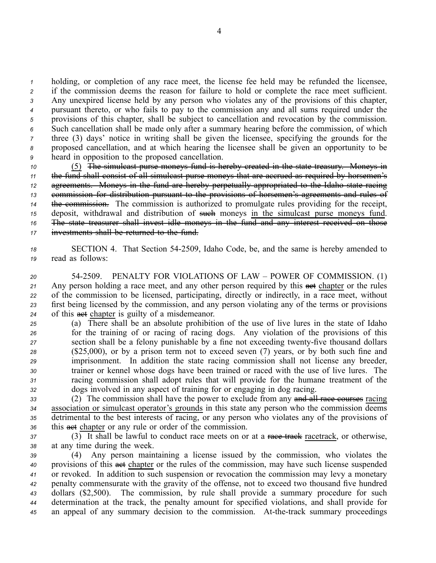holding, or completion of any race meet, the license fee held may be refunded the licensee, if the commission deems the reason for failure to hold or complete the race meet sufficient. Any unexpired license held by any person who violates any of the provisions of this chapter, pursuan<sup>t</sup> thereto, or who fails to pay to the commission any and all sums required under the provisions of this chapter, shall be subject to cancellation and revocation by the commission. Such cancellation shall be made only after <sup>a</sup> summary hearing before the commission, of which three (3) days' notice in writing shall be given the licensee, specifying the grounds for the proposed cancellation, and at which hearing the licensee shall be given an opportunity to be heard in opposition to the proposed cancellation.

 (5) The simulcast purse moneys fund is hereby created in the state treasury. Moneys in the fund shall consist of all simulcast purse moneys that are accrued as required by horsemen's agreements. Moneys in the fund are hereby perpetually appropriated to the Idaho state racing commission for distribution pursuan<sup>t</sup> to the provisions of horsemen's agreements and rules of the commission. The commission is authorized to promulgate rules providing for the receipt, 15 deposit, withdrawal and distribution of such moneys in the simulcast purse moneys fund. The state treasurer shall invest idle moneys in the fund and any interest received on those investments shall be returned to the fund.

*<sup>18</sup>* SECTION 4. That Section 542509, Idaho Code, be, and the same is hereby amended to *<sup>19</sup>* read as follows:

 542509. PENALTY FOR VIOLATIONS OF LAW – POWER OF COMMISSION. (1) 21 Any person holding a race meet, and any other person required by this **aset** chapter or the rules of the commission to be licensed, participating, directly or indirectly, in <sup>a</sup> race meet, without first being licensed by the commission, and any person violating any of the terms or provisions of this act chapter is guilty of <sup>a</sup> misdemeanor.

 (a) There shall be an absolute prohibition of the use of live lures in the state of Idaho for the training of or racing of racing dogs. Any violation of the provisions of this 27 section shall be a felony punishable by a fine not exceeding twenty-five thousand dollars (\$25,000), or by <sup>a</sup> prison term not to exceed seven (7) years, or by both such fine and imprisonment. In addition the state racing commission shall not license any breeder, trainer or kennel whose dogs have been trained or raced with the use of live lures. The racing commission shall adopt rules that will provide for the humane treatment of the dogs involved in any aspec<sup>t</sup> of training for or engaging in dog racing.

 (2) The commission shall have the power to exclude from any and all race courses racing association or simulcast operator's grounds in this state any person who the commission deems detrimental to the best interests of racing, or any person who violates any of the provisions of this act chapter or any rule or order of the commission.

37 (3) It shall be lawful to conduct race meets on or at a race track racetrack, or otherwise, *<sup>38</sup>* at any time during the week.

 (4) Any person maintaining <sup>a</sup> license issued by the commission, who violates the provisions of this act chapter or the rules of the commission, may have such license suspended or revoked. In addition to such suspension or revocation the commission may levy <sup>a</sup> monetary penalty commensurate with the gravity of the offense, not to exceed two thousand five hundred dollars (\$2,500). The commission, by rule shall provide <sup>a</sup> summary procedure for such determination at the track, the penalty amount for specified violations, and shall provide for 45 an appeal of any summary decision to the commission. At-the-track summary proceedings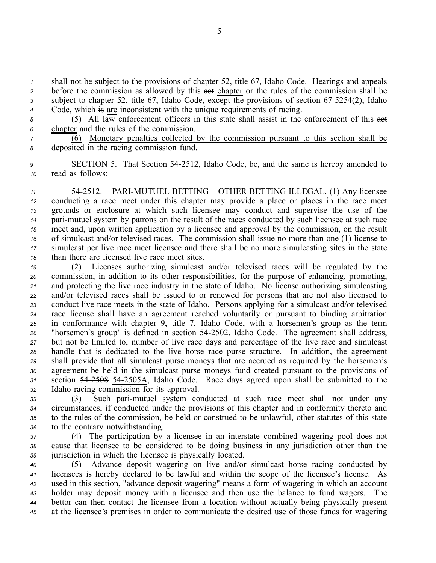shall not be subject to the provisions of chapter 52, title 67, Idaho Code. Hearings and appeals before the commission as allowed by this act chapter or the rules of the commission shall be 3 subject to chapter 52, title 67, Idaho Code, except the provisions of section 67-5254(2), Idaho Code, which is are inconsistent with the unique requirements of racing.

5 (5) All law enforcement officers in this state shall assist in the enforcement of this act *<sup>6</sup>* chapter and the rules of the commission.

*<sup>7</sup>* (6) Monetary penalties collected by the commission pursuan<sup>t</sup> to this section shall be *<sup>8</sup>* deposited in the racing commission fund.

*<sup>9</sup>* SECTION 5. That Section 542512, Idaho Code, be, and the same is hereby amended to *<sup>10</sup>* read as follows:

11 54-2512. PARI-MUTUEL BETTING – OTHER BETTING ILLEGAL. (1) Any licensee conducting <sup>a</sup> race meet under this chapter may provide <sup>a</sup> place or places in the race meet grounds or enclosure at which such licensee may conduct and supervise the use of the pari-mutuel system by patrons on the result of the races conducted by such licensee at such race meet and, upon written application by <sup>a</sup> licensee and approval by the commission, on the result of simulcast and/or televised races. The commission shall issue no more than one (1) license to simulcast per live race meet licensee and there shall be no more simulcasting sites in the state than there are licensed live race meet sites.

 (2) Licenses authorizing simulcast and/or televised races will be regulated by the commission, in addition to its other responsibilities, for the purpose of enhancing, promoting, and protecting the live race industry in the state of Idaho. No license authorizing simulcasting and/or televised races shall be issued to or renewed for persons that are not also licensed to conduct live race meets in the state of Idaho. Persons applying for <sup>a</sup> simulcast and/or televised race license shall have an agreemen<sup>t</sup> reached voluntarily or pursuan<sup>t</sup> to binding arbitration in conformance with chapter 9, title 7, Idaho Code, with <sup>a</sup> horsemen's group as the term "horsemen's group" is defined in section 542502, Idaho Code. The agreemen<sup>t</sup> shall address, but not be limited to, number of live race days and percentage of the live race and simulcast handle that is dedicated to the live horse race purse structure. In addition, the agreemen<sup>t</sup> shall provide that all simulcast purse moneys that are accrued as required by the horsemen's agreemen<sup>t</sup> be held in the simulcast purse moneys fund created pursuan<sup>t</sup> to the provisions of section 542508 542505A, Idaho Code. Race days agreed upon shall be submitted to the Idaho racing commission for its approval.

 (3) Such parimutuel system conducted at such race meet shall not under any circumstances, if conducted under the provisions of this chapter and in conformity thereto and to the rules of the commission, be held or construed to be unlawful, other statutes of this state to the contrary notwithstanding.

*<sup>37</sup>* (4) The participation by <sup>a</sup> licensee in an interstate combined wagering pool does not *<sup>38</sup>* cause that licensee to be considered to be doing business in any jurisdiction other than the *<sup>39</sup>* jurisdiction in which the licensee is physically located.

 (5) Advance deposit wagering on live and/or simulcast horse racing conducted by licensees is hereby declared to be lawful and within the scope of the licensee's license. As used in this section, "advance deposit wagering" means <sup>a</sup> form of wagering in which an account holder may deposit money with <sup>a</sup> licensee and then use the balance to fund wagers. The bettor can then contact the licensee from <sup>a</sup> location without actually being physically presen<sup>t</sup> at the licensee's premises in order to communicate the desired use of those funds for wagering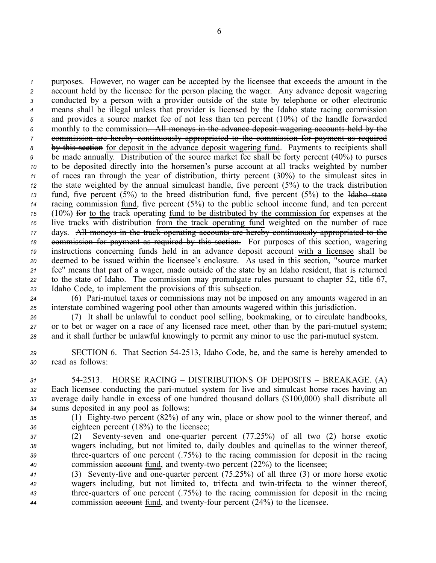purposes. However, no wager can be accepted by the licensee that exceeds the amount in the account held by the licensee for the person placing the wager. Any advance deposit wagering conducted by <sup>a</sup> person with <sup>a</sup> provider outside of the state by telephone or other electronic means shall be illegal unless that provider is licensed by the Idaho state racing commission and provides <sup>a</sup> source market fee of not less than ten percen<sup>t</sup> (10%) of the handle forwarded monthly to the commission. All moneys in the advance deposit wagering accounts held by the commission are hereby continuously appropriated to the commission for paymen<sup>t</sup> as required by this section for deposit in the advance deposit wagering fund. Payments to recipients shall be made annually. Distribution of the source market fee shall be forty percen<sup>t</sup> (40%) to purses to be deposited directly into the horsemen's purse account at all tracks weighted by number of races ran through the year of distribution, thirty percen<sup>t</sup> (30%) to the simulcast sites in the state weighted by the annual simulcast handle, five percen<sup>t</sup> (5%) to the track distribution fund, five percen<sup>t</sup> (5%) to the breed distribution fund, five percen<sup>t</sup> (5%) to the Idaho state racing commission fund, five percen<sup>t</sup> (5%) to the public school income fund, and ten percen<sup>t</sup> (10%) for to the track operating fund to be distributed by the commission for expenses at the live tracks with distribution from the track operating fund weighted on the number of race days. All moneys in the track operating accounts are hereby continuously appropriated to the 18 commission for payment as required by this section. For purposes of this section, wagering instructions concerning funds held in an advance deposit account with <sup>a</sup> licensee shall be deemed to be issued within the licensee's enclosure. As used in this section, "source market fee" means that par<sup>t</sup> of <sup>a</sup> wager, made outside of the state by an Idaho resident, that is returned to the state of Idaho. The commission may promulgate rules pursuan<sup>t</sup> to chapter 52, title 67, Idaho Code, to implement the provisions of this subsection.

*<sup>24</sup>* (6) Parimutuel taxes or commissions may not be imposed on any amounts wagered in an *<sup>25</sup>* interstate combined wagering pool other than amounts wagered within this jurisdiction.

*<sup>26</sup>* (7) It shall be unlawful to conduct pool selling, bookmaking, or to circulate handbooks, *27* or to bet or wager on a race of any licensed race meet, other than by the pari-mutuel system; 28 and it shall further be unlawful knowingly to permit any minor to use the pari-mutuel system.

*<sup>29</sup>* SECTION 6. That Section 542513, Idaho Code, be, and the same is hereby amended to *<sup>30</sup>* read as follows:

 542513. HORSE RACING – DISTRIBUTIONS OF DEPOSITS – BREAKAGE. (A) Each licensee conducting the parimutuel system for live and simulcast horse races having an average daily handle in excess of one hundred thousand dollars (\$100,000) shall distribute all sums deposited in any pool as follows:

35 (1) Eighty-two percent (82%) of any win, place or show pool to the winner thereof, and *<sup>36</sup>* eighteen percen<sup>t</sup> (18%) to the licensee;

 (2) Seventyseven and onequarter percen<sup>t</sup> (77.25%) of all two (2) horse exotic wagers including, but not limited to, daily doubles and quinellas to the winner thereof, 39 three-quarters of one percent (.75%) to the racing commission for deposit in the racing commission **account** fund, and twenty-two percent (22%) to the licensee;

41 (3) Seventy-five and one-quarter percent (75.25%) of all three (3) or more horse exotic wagers including, but not limited to, trifecta and twintrifecta to the winner thereof, threequarters of one percen<sup>t</sup> (.75%) to the racing commission for deposit in the racing commission **account** fund, and twenty-four percent (24%) to the licensee.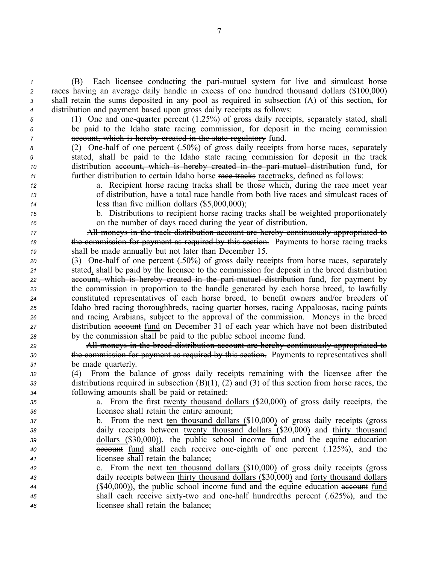(B) Each licensee conducting the parimutuel system for live and simulcast horse races having an average daily handle in excess of one hundred thousand dollars (\$100,000) shall retain the sums deposited in any pool as required in subsection (A) of this section, for distribution and paymen<sup>t</sup> based upon gross daily receipts as follows:

*5* (1) One and one-quarter percent (1.25%) of gross daily receipts, separately stated, shall *<sup>6</sup>* be paid to the Idaho state racing commission, for deposit in the racing commission *7* account, which is hereby created in the state regulatory fund.

 (2) Onehalf of one percen<sup>t</sup> (.50%) of gross daily receipts from horse races, separately stated, shall be paid to the Idaho state racing commission for deposit in the track distribution account, which is hereby created in the parimutuel distribution fund, for further distribution to certain Idaho horse race tracks racetracks, defined as follows:

- *<sup>12</sup>* a. Recipient horse racing tracks shall be those which, during the race meet year
- *<sup>13</sup>* of distribution, have <sup>a</sup> total race handle from both live races and simulcast races of

*<sup>14</sup>* less than five million dollars (\$5,000,000);

*<sup>15</sup>* b. Distributions to recipient horse racing tracks shall be weighted proportionately *<sup>16</sup>* on the number of days raced during the year of distribution.

*<sup>17</sup>* All moneys in the track distribution account are hereby continuously appropriated to *<sup>18</sup>* the commission for paymen<sup>t</sup> as required by this section. Payments to horse racing tracks *<sup>19</sup>* shall be made annually but not later than December 15.

 (3) Onehalf of one percen<sup>t</sup> (.50%) of gross daily receipts from horse races, separately stated, shall be paid by the licensee to the commission for deposit in the breed distribution account, which is hereby created in the parimutuel distribution fund, for paymen<sup>t</sup> by the commission in proportion to the handle generated by each horse breed, to lawfully constituted representatives of each horse breed, to benefit owners and/or breeders of Idaho bred racing thoroughbreds, racing quarter horses, racing Appaloosas, racing paints and racing Arabians, subject to the approval of the commission. Moneys in the breed distribution **excount** fund on December 31 of each year which have not been distributed by the commission shall be paid to the public school income fund.

*<sup>29</sup>* All moneys in the breed distribution account are hereby continuously appropriated to *<sup>30</sup>* the commission for paymen<sup>t</sup> as required by this section. Payments to representatives shall *<sup>31</sup>* be made quarterly.

*<sup>32</sup>* (4) From the balance of gross daily receipts remaining with the licensee after the *<sup>33</sup>* distributions required in subsection (B)(1), (2) and (3) of this section from horse races, the *<sup>34</sup>* following amounts shall be paid or retained:

*<sup>35</sup>* a. From the first twenty thousand dollars (\$20,000) of gross daily receipts, the *<sup>36</sup>* licensee shall retain the entire amount;

- *<sup>37</sup>* b. From the next ten thousand dollars (\$10,000) of gross daily receipts (gross *<sup>38</sup>* daily receipts between twenty thousand dollars (\$20,000) and thirty thousand *<sup>39</sup>* dollars (\$30,000)), the public school income fund and the equine education 40 **account** fund shall each receive one-eighth of one percent (.125%), and the *<sup>41</sup>* licensee shall retain the balance;
- *<sup>42</sup>* c. From the next ten thousand dollars (\$10,000) of gross daily receipts (gross *<sup>43</sup>* daily receipts between thirty thousand dollars (\$30,000) and forty thousand dollars 44 (\$40,000)), the public school income fund and the equine education account fund *45* shall each receive sixty-two and one-half hundredths percent (.625%), and the *<sup>46</sup>* licensee shall retain the balance;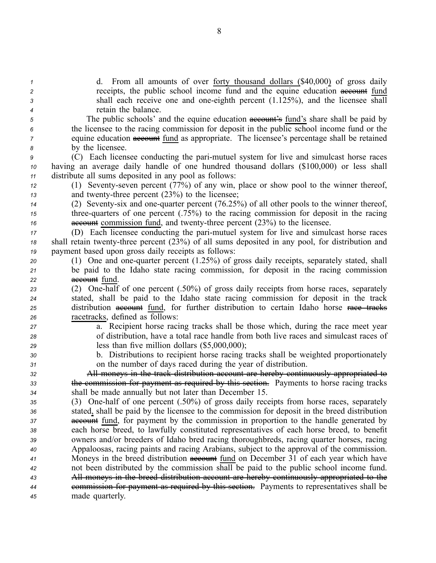| $\boldsymbol{\mathcal{L}}$ | d. From all amounts of over forty thousand dollars (\$40,000) of gross daily                                                                                                       |
|----------------------------|------------------------------------------------------------------------------------------------------------------------------------------------------------------------------------|
| 2                          | receipts, the public school income fund and the equine education account fund                                                                                                      |
| 3                          | shall each receive one and one-eighth percent (1.125%), and the licensee shall                                                                                                     |
| 4                          | retain the balance.                                                                                                                                                                |
| 5                          | The public schools' and the equine education account's fund's share shall be paid by                                                                                               |
| 6                          | the licensee to the racing commission for deposit in the public school income fund or the                                                                                          |
| 7                          | equine education account fund as appropriate. The licensee's percentage shall be retained                                                                                          |
| 8                          | by the licensee.                                                                                                                                                                   |
| 9                          | (C) Each licensee conducting the pari-mutuel system for live and simulcast horse races                                                                                             |
| 10                         | having an average daily handle of one hundred thousand dollars (\$100,000) or less shall                                                                                           |
| 11                         | distribute all sums deposited in any pool as follows:                                                                                                                              |
| 12                         | (1) Seventy-seven percent (77%) of any win, place or show pool to the winner thereof,                                                                                              |
| 13                         | and twenty-three percent $(23%)$ to the licensee;                                                                                                                                  |
| 14                         | (2) Seventy-six and one-quarter percent (76.25%) of all other pools to the winner thereof,                                                                                         |
| 15                         | three-quarters of one percent $(.75%)$ to the racing commission for deposit in the racing                                                                                          |
| 16                         | account commission fund, and twenty-three percent (23%) to the licensee.                                                                                                           |
| 17                         | (D) Each licensee conducting the pari-mutuel system for live and simulcast horse races                                                                                             |
| 18                         | shall retain twenty-three percent (23%) of all sums deposited in any pool, for distribution and                                                                                    |
| 19                         | payment based upon gross daily receipts as follows:                                                                                                                                |
| 20                         | (1) One and one-quarter percent (1.25%) of gross daily receipts, separately stated, shall                                                                                          |
| 21                         | be paid to the Idaho state racing commission, for deposit in the racing commission                                                                                                 |
| 22                         | account fund.                                                                                                                                                                      |
| 23                         | (2) One-half of one percent (.50%) of gross daily receipts from horse races, separately                                                                                            |
| 24                         | stated, shall be paid to the Idaho state racing commission for deposit in the track                                                                                                |
| 25                         | distribution account fund, for further distribution to certain Idaho horse race tracks                                                                                             |
| 26                         | racetracks, defined as follows:                                                                                                                                                    |
| 27                         | a. Recipient horse racing tracks shall be those which, during the race meet year                                                                                                   |
| 28                         | of distribution, have a total race handle from both live races and simulcast races of                                                                                              |
| 29                         | less than five million dollars $(\$5,000,000)$ ;                                                                                                                                   |
| 30                         | b. Distributions to recipient horse racing tracks shall be weighted proportionately                                                                                                |
| 31                         | on the number of days raced during the year of distribution.                                                                                                                       |
| 32                         | All moneys in the track distribution account are hereby continuously appropriated to                                                                                               |
| 33                         | the commission for payment as required by this section. Payments to horse racing tracks                                                                                            |
| 34                         | shall be made annually but not later than December 15.                                                                                                                             |
| 35                         | (3) One-half of one percent (.50%) of gross daily receipts from horse races, separately                                                                                            |
| 36                         | stated, shall be paid by the licensee to the commission for deposit in the breed distribution                                                                                      |
| 37                         | <b>account</b> fund, for payment by the commission in proportion to the handle generated by                                                                                        |
| 38                         | each horse breed, to lawfully constituted representatives of each horse breed, to benefit                                                                                          |
| 39                         | owners and/or breeders of Idaho bred racing thoroughbreds, racing quarter horses, racing                                                                                           |
| 40                         | Appaloosas, racing paints and racing Arabians, subject to the approval of the commission.                                                                                          |
| 41                         | Moneys in the breed distribution account fund on December 31 of each year which have                                                                                               |
| 42                         | not been distributed by the commission shall be paid to the public school income fund.<br>All moneys in the breed distribution account are hereby continuously appropriated to the |
| 43                         | eommission for payment as required by this section. Payments to representatives shall be                                                                                           |
| 44                         | made quarterly.                                                                                                                                                                    |
| 45                         |                                                                                                                                                                                    |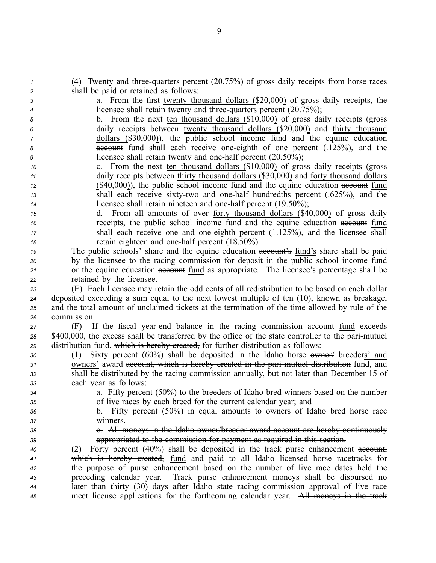*1* (4) Twenty and three-quarters percent (20.75%) of gross daily receipts from horse races *<sup>2</sup>* shall be paid or retained as follows:

*<sup>3</sup>* a. From the first twenty thousand dollars (\$20,000) of gross daily receipts, the *4* licensee shall retain twenty and three-quarters percent (20.75%);

 b. From the next ten thousand dollars (\$10,000) of gross daily receipts (gross daily receipts between twenty thousand dollars (\$20,000) and thirty thousand dollars (\$30,000)), the public school income fund and the equine education **account** fund shall each receive one-eighth of one percent (.125%), and the licensee shall retain twenty and one-half percent (20.50%);

- *<sup>10</sup>* c. From the next ten thousand dollars (\$10,000) of gross daily receipts (gross *<sup>11</sup>* daily receipts between thirty thousand dollars (\$30,000) and forty thousand dollars 12 (\$40,000)), the public school income fund and the equine education account fund *13* shall each receive sixty-two and one-half hundredths percent (.625%), and the *14* licensee shall retain nineteen and one-half percent (19.50%);
- *<sup>15</sup>* d. From all amounts of over forty thousand dollars (\$40,000) of gross daily *16* receipts, the public school income fund and the equine education account fund *17* shall each receive one and one-eighth percent (1.125%), and the licensee shall *18* retain eighteen and one-half percent (18.50%).
- *19* The public schools' share and the equine education **account's** fund's share shall be paid *<sup>20</sup>* by the licensee to the racing commission for deposit in the public school income fund 21 or the equine education **account** fund as appropriate. The licensee's percentage shall be *<sup>22</sup>* retained by the licensee.
- *<sup>23</sup>* (E) Each licensee may retain the odd cents of all redistribution to be based on each dollar *<sup>24</sup>* deposited exceeding <sup>a</sup> sum equal to the next lowest multiple of ten (10), known as breakage, *<sup>25</sup>* and the total amount of unclaimed tickets at the termination of the time allowed by rule of the *<sup>26</sup>* commission.
- *27 If the fiscal year-end balance in the racing commission account fund exceeds <sup>28</sup>* \$400,000, the excess shall be transferred by the office of the state controller to the parimutuel *<sup>29</sup>* distribution fund, which is hereby created, for further distribution as follows:
- *<sup>30</sup>* (1) Sixty percen<sup>t</sup> (60%) shall be deposited in the Idaho horse owner/ breeders' and *<sup>31</sup>* owners' award account, which is hereby created in the parimutuel distribution fund, and *<sup>32</sup>* shall be distributed by the racing commission annually, but not later than December 15 of *<sup>33</sup>* each year as follows:
- 
- *<sup>34</sup>* a. Fifty percen<sup>t</sup> (50%) to the breeders of Idaho bred winners based on the number *<sup>35</sup>* of live races by each breed for the current calendar year; and
- *<sup>36</sup>* b. Fifty percen<sup>t</sup> (50%) in equal amounts to owners of Idaho bred horse race *<sup>37</sup>* winners.
- 
- 38 **38** e. All moneys in the Idaho owner/breeder award account are hereby continuously *<sup>39</sup>* appropriated to the commission for paymen<sup>t</sup> as required in this section.

 (2) Forty percen<sup>t</sup> (40%) shall be deposited in the track purse enhancement account, which is hereby created, fund and paid to all Idaho licensed horse racetracks for the purpose of purse enhancement based on the number of live race dates held the preceding calendar year. Track purse enhancement moneys shall be disbursed no later than thirty (30) days after Idaho state racing commission approval of live race meet license applications for the forthcoming calendar year. All moneys in the track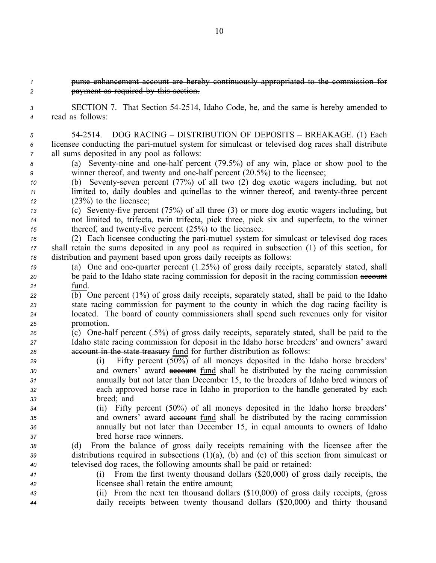### *1* **purse enhancement account are hereby continuously appropriated to the commission** *<sup>2</sup>* paymen<sup>t</sup> as required by this section.

*<sup>3</sup>* SECTION 7. That Section 542514, Idaho Code, be, and the same is hereby amended to *<sup>4</sup>* read as follows:

*<sup>5</sup>* 542514. DOG RACING – DISTRIBUTION OF DEPOSITS – BREAKAGE. (1) Each  $6$  licensee conducting the pari-mutuel system for simulcast or televised dog races shall distribute *<sup>7</sup>* all sums deposited in any pool as follows:

*<sup>8</sup>* (a) Seventynine and onehalf percen<sup>t</sup> (79.5%) of any win, place or show pool to the *9* winner thereof, and twenty and one-half percent (20.5%) to the licensee;

- *10* (b) Seventy-seven percent (77%) of all two (2) dog exotic wagers including, but not *11* limited to, daily doubles and quinellas to the winner thereof, and twenty-three percent *<sup>12</sup>* (23%) to the licensee;
- 13 (c) Seventy-five percent (75%) of all three (3) or more dog exotic wagers including, but *<sup>14</sup>* not limited to, trifecta, twin trifecta, pick three, pick six and superfecta, to the winner *15* thereof, and twenty-five percent (25%) to the licensee.

*<sup>16</sup>* (2) Each licensee conducting the parimutuel system for simulcast or televised dog races *<sup>17</sup>* shall retain the sums deposited in any pool as required in subsection (1) of this section, for *<sup>18</sup>* distribution and paymen<sup>t</sup> based upon gross daily receipts as follows:

- *19* (a) One and one-quarter percent (1.25%) of gross daily receipts, separately stated, shall *20* be paid to the Idaho state racing commission for deposit in the racing commission account *<sup>21</sup>* fund.
- *<sup>22</sup>* (b) One percen<sup>t</sup> (1%) of gross daily receipts, separately stated, shall be paid to the Idaho *<sup>23</sup>* state racing commission for paymen<sup>t</sup> to the county in which the dog racing facility is *<sup>24</sup>* located. The board of county commissioners shall spend such revenues only for visitor *<sup>25</sup>* promotion.
- *<sup>26</sup>* (c) Onehalf percen<sup>t</sup> (.5%) of gross daily receipts, separately stated, shall be paid to the *<sup>27</sup>* Idaho state racing commission for deposit in the Idaho horse breeders' and owners' award *<sup>28</sup>* account in the state treasury fund for further distribution as follows:
- *<sup>29</sup>* (i) Fifty percen<sup>t</sup> (50%) of all moneys deposited in the Idaho horse breeders' *30* and owners' award **account** fund shall be distributed by the racing commission *<sup>31</sup>* annually but not later than December 15, to the breeders of Idaho bred winners of *<sup>32</sup>* each approved horse race in Idaho in proportion to the handle generated by each *<sup>33</sup>* breed; and
- *<sup>34</sup>* (ii) Fifty percen<sup>t</sup> (50%) of all moneys deposited in the Idaho horse breeders' *35* and owners' award account fund shall be distributed by the racing commission *<sup>36</sup>* annually but not later than December 15, in equal amounts to owners of Idaho *<sup>37</sup>* bred horse race winners.

*<sup>38</sup>* (d) From the balance of gross daily receipts remaining with the licensee after the *<sup>39</sup>* distributions required in subsections (1)(a), (b) and (c) of this section from simulcast or *<sup>40</sup>* televised dog races, the following amounts shall be paid or retained:

- *<sup>41</sup>* (i) From the first twenty thousand dollars (\$20,000) of gross daily receipts, the *<sup>42</sup>* licensee shall retain the entire amount;
- *<sup>43</sup>* (ii) From the next ten thousand dollars (\$10,000) of gross daily receipts, (gross *<sup>44</sup>* daily receipts between twenty thousand dollars (\$20,000) and thirty thousand